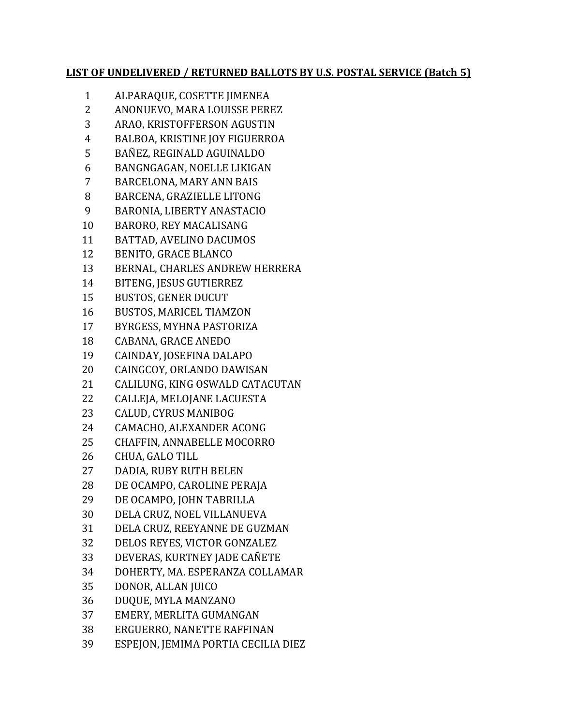## **LIST OF UNDELIVERED / RETURNED BALLOTS BY U.S. POSTAL SERVICE (Batch 5)**

- ALPARAQUE, COSETTE JIMENEA
- ANONUEVO, MARA LOUISSE PEREZ
- ARAO, KRISTOFFERSON AGUSTIN
- BALBOA, KRISTINE JOY FIGUERROA
- BAÑEZ, REGINALD AGUINALDO
- BANGNGAGAN, NOELLE LIKIGAN
- BARCELONA, MARY ANN BAIS
- BARCENA, GRAZIELLE LITONG
- BARONIA, LIBERTY ANASTACIO
- BARORO, REY MACALISANG
- BATTAD, AVELINO DACUMOS
- BENITO, GRACE BLANCO
- BERNAL, CHARLES ANDREW HERRERA
- BITENG, JESUS GUTIERREZ
- BUSTOS, GENER DUCUT
- BUSTOS, MARICEL TIAMZON
- BYRGESS, MYHNA PASTORIZA
- CABANA, GRACE ANEDO
- CAINDAY, JOSEFINA DALAPO
- CAINGCOY, ORLANDO DAWISAN
- CALILUNG, KING OSWALD CATACUTAN
- CALLEJA, MELOJANE LACUESTA
- CALUD, CYRUS MANIBOG
- CAMACHO, ALEXANDER ACONG
- CHAFFIN, ANNABELLE MOCORRO
- CHUA, GALO TILL
- DADIA, RUBY RUTH BELEN
- DE OCAMPO, CAROLINE PERAJA
- DE OCAMPO, JOHN TABRILLA
- DELA CRUZ, NOEL VILLANUEVA
- DELA CRUZ, REEYANNE DE GUZMAN
- DELOS REYES, VICTOR GONZALEZ
- DEVERAS, KURTNEY JADE CAÑETE
- DOHERTY, MA. ESPERANZA COLLAMAR
- DONOR, ALLAN JUICO
- DUQUE, MYLA MANZANO
- EMERY, MERLITA GUMANGAN
- ERGUERRO, NANETTE RAFFINAN
- ESPEJON, JEMIMA PORTIA CECILIA DIEZ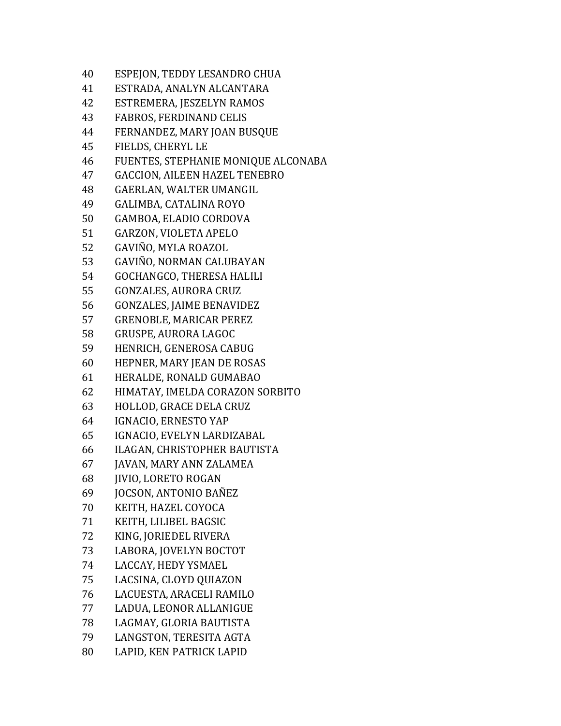| 40 | ESPEJON, TEDDY LESANDRO CHUA         |
|----|--------------------------------------|
| 41 | ESTRADA, ANALYN ALCANTARA            |
| 42 | ESTREMERA, JESZELYN RAMOS            |
| 43 | <b>FABROS, FERDINAND CELIS</b>       |
| 44 | FERNANDEZ, MARY JOAN BUSQUE          |
| 45 | FIELDS, CHERYL LE                    |
| 46 | FUENTES, STEPHANIE MONIQUE ALCONABA  |
| 47 | <b>GACCION, AILEEN HAZEL TENEBRO</b> |
| 48 | GAERLAN, WALTER UMANGIL              |
| 49 | GALIMBA, CATALINA ROYO               |
| 50 | GAMBOA, ELADIO CORDOVA               |
| 51 | GARZON, VIOLETA APELO                |
| 52 | GAVIÑO, MYLA ROAZOL                  |
| 53 | GAVIÑO, NORMAN CALUBAYAN             |
| 54 | GOCHANGCO, THERESA HALILI            |
| 55 | <b>GONZALES, AURORA CRUZ</b>         |
| 56 | <b>GONZALES, JAIME BENAVIDEZ</b>     |
| 57 | <b>GRENOBLE, MARICAR PEREZ</b>       |
| 58 | GRUSPE, AURORA LAGOC                 |
| 59 | HENRICH, GENEROSA CABUG              |
| 60 | HEPNER, MARY JEAN DE ROSAS           |
| 61 | HERALDE, RONALD GUMABAO              |
| 62 | HIMATAY, IMELDA CORAZON SORBITO      |
| 63 | HOLLOD, GRACE DELA CRUZ              |
| 64 | IGNACIO, ERNESTO YAP                 |
| 65 | IGNACIO, EVELYN LARDIZABAL           |
| 66 | ILAGAN, CHRISTOPHER BAUTISTA         |
| 67 | JAVAN, MARY ANN ZALAMEA              |
| 68 | <b>JIVIO, LORETO ROGAN</b>           |
| 69 | JOCSON, ANTONIO BAÑEZ                |
| 70 | KEITH, HAZEL COYOCA                  |
| 71 | KEITH, LILIBEL BAGSIC                |
| 72 | KING, JORIEDEL RIVERA                |
| 73 | LABORA, JOVELYN BOCTOT               |
| 74 | LACCAY, HEDY YSMAEL                  |
| 75 | LACSINA, CLOYD QUIAZON               |
| 76 | LACUESTA, ARACELI RAMILO             |
| 77 | LADUA, LEONOR ALLANIGUE              |
| 78 | LAGMAY, GLORIA BAUTISTA              |
| 79 | LANGSTON, TERESITA AGTA              |
| 80 | LAPID, KEN PATRICK LAPID             |
|    |                                      |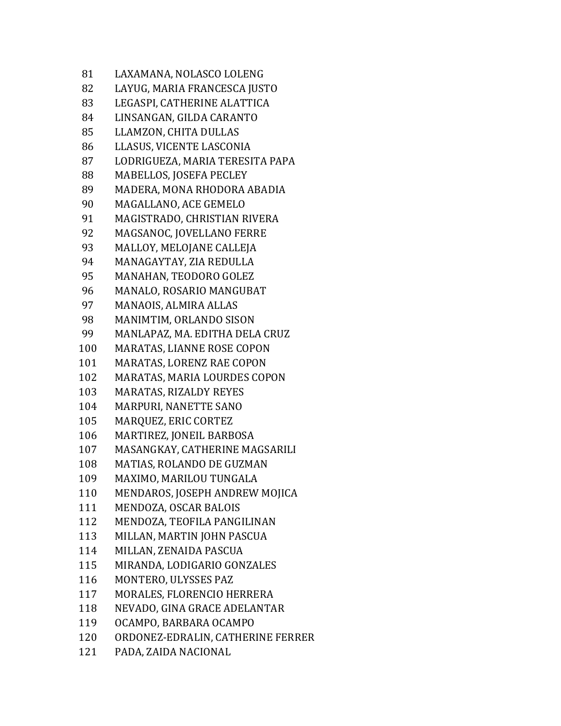| 81  | LAXAMANA, NOLASCO LOLENG          |
|-----|-----------------------------------|
| 82  | LAYUG, MARIA FRANCESCA JUSTO      |
| 83  | LEGASPI, CATHERINE ALATTICA       |
| 84  | LINSANGAN, GILDA CARANTO          |
| 85  | LLAMZON, CHITA DULLAS             |
| 86  | LLASUS, VICENTE LASCONIA          |
| 87  | LODRIGUEZA, MARIA TERESITA PAPA   |
| 88  | MABELLOS, JOSEFA PECLEY           |
| 89  | MADERA, MONA RHODORA ABADIA       |
| 90  | MAGALLANO, ACE GEMELO             |
| 91  | MAGISTRADO, CHRISTIAN RIVERA      |
| 92  | MAGSANOC, JOVELLANO FERRE         |
| 93  | MALLOY, MELOJANE CALLEJA          |
| 94  | MANAGAYTAY, ZIA REDULLA           |
| 95  | MANAHAN, TEODORO GOLEZ            |
| 96  | MANALO, ROSARIO MANGUBAT          |
| 97  | MANAOIS, ALMIRA ALLAS             |
| 98  | MANIMTIM, ORLANDO SISON           |
| 99  | MANLAPAZ, MA. EDITHA DELA CRUZ    |
| 100 | MARATAS, LIANNE ROSE COPON        |
| 101 | MARATAS, LORENZ RAE COPON         |
| 102 | MARATAS, MARIA LOURDES COPON      |
| 103 | MARATAS, RIZALDY REYES            |
| 104 | MARPURI, NANETTE SANO             |
| 105 | MARQUEZ, ERIC CORTEZ              |
| 106 | MARTIREZ, JONEIL BARBOSA          |
| 107 | MASANGKAY, CATHERINE MAGSARILI    |
| 108 | MATIAS, ROLANDO DE GUZMAN         |
| 109 | MAXIMO, MARILOU TUNGALA           |
| 110 | MENDAROS, JOSEPH ANDREW MOJICA    |
| 111 | MENDOZA, OSCAR BALOIS             |
| 112 | MENDOZA, TEOFILA PANGILINAN       |
| 113 | MILLAN, MARTIN JOHN PASCUA        |
| 114 | MILLAN, ZENAIDA PASCUA            |
| 115 | MIRANDA, LODIGARIO GONZALES       |
| 116 | MONTERO, ULYSSES PAZ              |
| 117 | MORALES, FLORENCIO HERRERA        |
| 118 | NEVADO, GINA GRACE ADELANTAR      |
| 119 | OCAMPO, BARBARA OCAMPO            |
| 120 | ORDONEZ-EDRALIN, CATHERINE FERRER |
| 121 | PADA, ZAIDA NACIONAL              |
|     |                                   |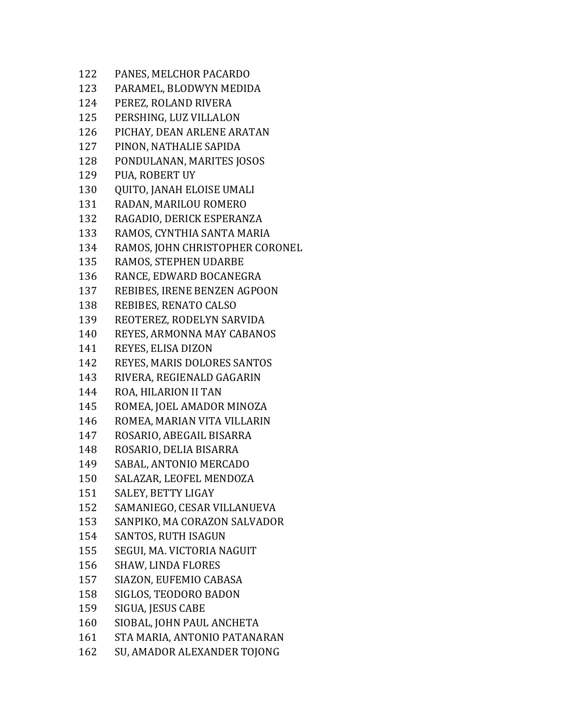| 122 | PANES, MELCHOR PACARDO          |
|-----|---------------------------------|
| 123 | PARAMEL, BLODWYN MEDIDA         |
| 124 | PEREZ, ROLAND RIVERA            |
| 125 | PERSHING, LUZ VILLALON          |
| 126 | PICHAY, DEAN ARLENE ARATAN      |
| 127 | PINON, NATHALIE SAPIDA          |
| 128 | PONDULANAN, MARITES JOSOS       |
| 129 | PUA, ROBERT UY                  |
| 130 | QUITO, JANAH ELOISE UMALI       |
| 131 | RADAN, MARILOU ROMERO           |
| 132 | RAGADIO, DERICK ESPERANZA       |
| 133 | RAMOS, CYNTHIA SANTA MARIA      |
| 134 | RAMOS, JOHN CHRISTOPHER CORONEL |
| 135 | RAMOS, STEPHEN UDARBE           |
| 136 | RANCE, EDWARD BOCANEGRA         |
| 137 | REBIBES, IRENE BENZEN AGPOON    |
| 138 | REBIBES, RENATO CALSO           |
| 139 | REOTEREZ, RODELYN SARVIDA       |
| 140 | REYES, ARMONNA MAY CABANOS      |
| 141 | REYES, ELISA DIZON              |
| 142 | REYES, MARIS DOLORES SANTOS     |
| 143 | RIVERA, REGIENALD GAGARIN       |
| 144 | ROA, HILARION II TAN            |
| 145 | ROMEA, JOEL AMADOR MINOZA       |
| 146 | ROMEA, MARIAN VITA VILLARIN     |
| 147 | ROSARIO, ABEGAIL BISARRA        |
| 148 | ROSARIO, DELIA BISARRA          |
| 149 | SABAL, ANTONIO MERCADO          |
| 150 | SALAZAR, LEOFEL MENDOZA         |
| 151 | SALEY, BETTY LIGAY              |
| 152 | SAMANIEGO, CESAR VILLANUEVA     |
| 153 | SANPIKO, MA CORAZON SALVADOR    |
| 154 | <b>SANTOS, RUTH ISAGUN</b>      |
| 155 | SEGUI, MA. VICTORIA NAGUIT      |
| 156 | <b>SHAW, LINDA FLORES</b>       |
| 157 | SIAZON, EUFEMIO CABASA          |
| 158 | SIGLOS, TEODORO BADON           |
| 159 | SIGUA, JESUS CABE               |
| 160 | SIOBAL, JOHN PAUL ANCHETA       |
| 161 | STA MARIA, ANTONIO PATANARAN    |
| 162 | SU, AMADOR ALEXANDER TOJONG     |
|     |                                 |